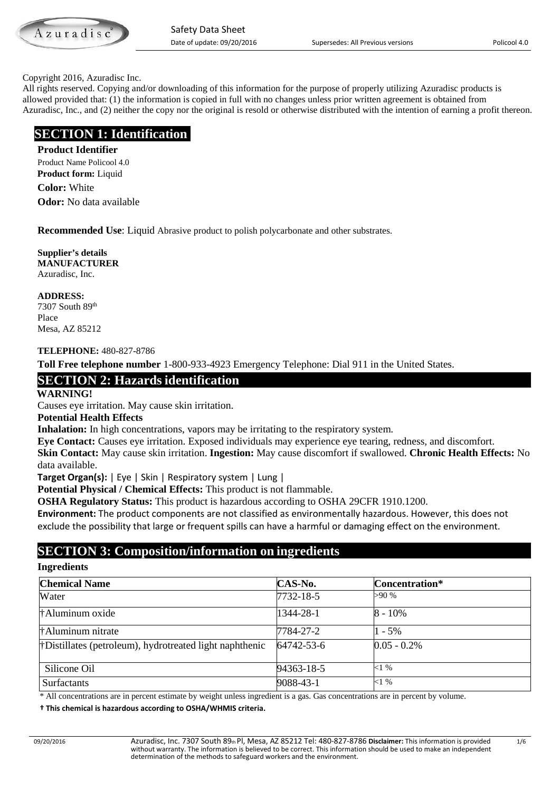Azuradis

#### Copyright 2016, Azuradisc Inc.

All rights reserved. Copying and/or downloading of this information for the purpose of properly utilizing Azuradisc products is allowed provided that: (1) the information is copied in full with no changes unless prior written agreement is obtained from Azuradisc, Inc., and (2) neither the copy nor the original is resold or otherwise distributed with the intention of earning a profit thereon.

# **SECTION 1: Identification**

**Product Identifier** Product Name Policool 4.0 **Product form:** Liquid **Color:** White **Odor:** No data available

**Recommended Use**: Liquid Abrasive product to polish polycarbonate and other substrates.

**Supplier's details MANUFACTURER** Azuradisc, Inc.

**ADDRESS:** 7307 South 89th

Place Mesa, AZ 85212

#### **TELEPHONE:** 480-827-8786

**Toll Free telephone number** 1-800-933-4923 Emergency Telephone: Dial 911 in the United States.

# **SECTION 2: Hazards identification**

**WARNING!** 

Causes eye irritation. May cause skin irritation.

#### **Potential Health Effects**

**Inhalation:** In high concentrations, vapors may be irritating to the respiratory system.

**Eye Contact:** Causes eye irritation. Exposed individuals may experience eye tearing, redness, and discomfort. **Skin Contact:** May cause skin irritation. **Ingestion:** May cause discomfort if swallowed. **Chronic Health Effects:** No data available.

**Target Organ(s):** | Eye | Skin | Respiratory system | Lung |

**Potential Physical / Chemical Effects:** This product is not flammable.

**OSHA Regulatory Status:** This product is hazardous according to OSHA 29CFR 1910.1200.

**Environment:** The product components are not classified as environmentally hazardous. However, this does not exclude the possibility that large or frequent spills can have a harmful or damaging effect on the environment.

# **SECTION 3: Composition/information on ingredients**

#### **Ingredients**

| <b>Chemical Name</b>                                     | CAS-No.    | Concentration* |
|----------------------------------------------------------|------------|----------------|
| Water                                                    | 7732-18-5  | >90 %          |
| †Aluminum oxide                                          | 1344-28-1  | $8 - 10\%$     |
| †Aluminum nitrate                                        | 7784-27-2  | $1 - 5\%$      |
| † Distillates (petroleum), hydrotreated light naphthenic | 64742-53-6 | $0.05 - 0.2\%$ |
| Silicone Oil                                             | 94363-18-5 | $<1\%$         |
| <b>Surfactants</b>                                       | 9088-43-1  | $<1\%$         |

\* All concentrations are in percent estimate by weight unless ingredient is a gas. Gas concentrations are in percent by volume.

 **† This chemical is hazardous according to OSHA/WHMIS criteria.**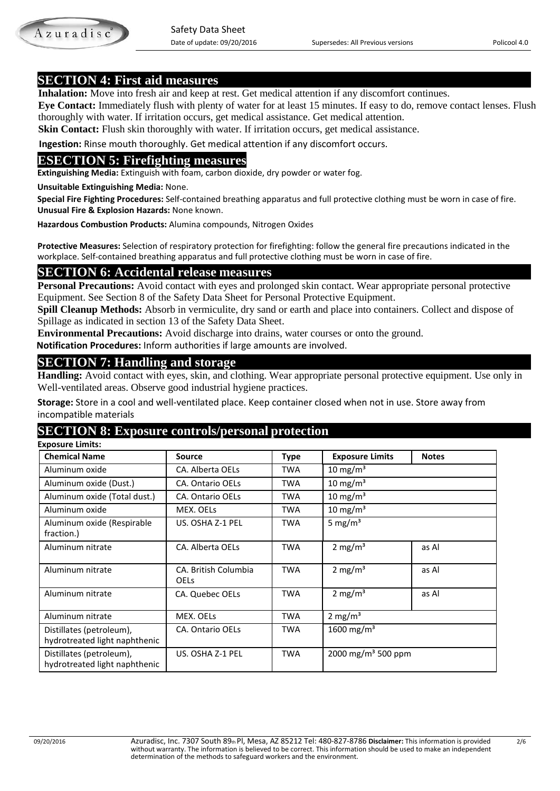**SECTION 4: First aid measures**<br>**Inhalation:** Move into fresh air and keep at rest. Get medical attention if any discomfort continues.

 **Eye Contact:** Immediately flush with plenty of water for at least 15 minutes. If easy to do, remove contact lenses. Flush thoroughly with water. If irritation occurs, get medical assistance. Get medical attention.

**Skin Contact:** Flush skin thoroughly with water. If irritation occurs, get medical assistance.

 **Ingestion:** Rinse mouth thoroughly. Get medical attention if any discomfort occurs.

# **ESECTION 5: Firefighting measures**

**Extinguishing Media:** Extinguish with foam, carbon dioxide, dry powder or water fog.

**Unsuitable Extinguishing Media:** None.

 **Special Fire Fighting Procedures:** Self-contained breathing apparatus and full protective clothing must be worn in case of fire.  **Unusual Fire & Explosion Hazards:** None known.

 **Hazardous Combustion Products:** Alumina compounds, Nitrogen Oxides

 **Protective Measures:** Selection of respiratory protection for firefighting: follow the general fire precautions indicated in the workplace. Self-contained breathing apparatus and full protective clothing must be worn in case of fire.

# **SECTION 6: Accidental release measures**

**Personal Precautions:** Avoid contact with eyes and prolonged skin contact. Wear appropriate personal protective Equipment. See Section 8 of the Safety Data Sheet for Personal Protective Equipment.

**Spill Cleanup Methods:** Absorb in vermiculite, dry sand or earth and place into containers. Collect and dispose of Spillage as indicated in section 13 of the Safety Data Sheet.

**Environmental Precautions:** Avoid discharge into drains, water courses or onto the ground.

 **Notification Procedures:** Inform authorities if large amounts are involved.

# **SECTION 7: Handling and storage**

**Handling:** Avoid contact with eyes, skin, and clothing. Wear appropriate personal protective equipment. Use only in Well-ventilated areas. Observe good industrial hygiene practices.

**Storage:** Store in a cool and well-ventilated place. Keep container closed when not in use. Store away from incompatible materials

# **SECTION 8: Exposure controls/personal protection**

 **Exposure Limits: Chemical Name Source Type Exposure Limits Notes** Aluminum oxide <br>
CA. Alberta OELs TWA 10 mg/m<sup>3</sup> Aluminum oxide (Dust.) CA. Ontario OELs TWA 10 mg/m<sup>3</sup> Aluminum oxide (Total dust.) | CA. Ontario OELs TWA 10 mg/m<sup>3</sup> Aluminum oxide MEX. OELs TWA 10 mg/m<sup>3</sup> Aluminum oxide (Respirable fraction.) US. OSHA Z-1 PEL  $\vert$  TWA  $\vert$  5 mg/m<sup>3</sup> Aluminum nitrate | CA. Alberta OELs | TWA | 2 mg/m<sup>3</sup> | as Al Aluminum nitrate **CA. British Columbia** OELs TWA  $\vert$  2 mg/m<sup>3</sup> as Al Aluminum nitrate CA. Quebec OELs TWA 2 mg/m<sup>3</sup> as Al Aluminum nitrate MEX. OELs TWA 2 mg/m<sup>3</sup> Distillates (petroleum), hydrotreated light naphthenic CA. Ontario OELs TWA 1600 mg/m<sup>3</sup> Distillates (petroleum), hydrotreated light naphthenic US. OSHA Z-1 PEL TWA  $\vert$  2000 mg/m<sup>3</sup> 500 ppm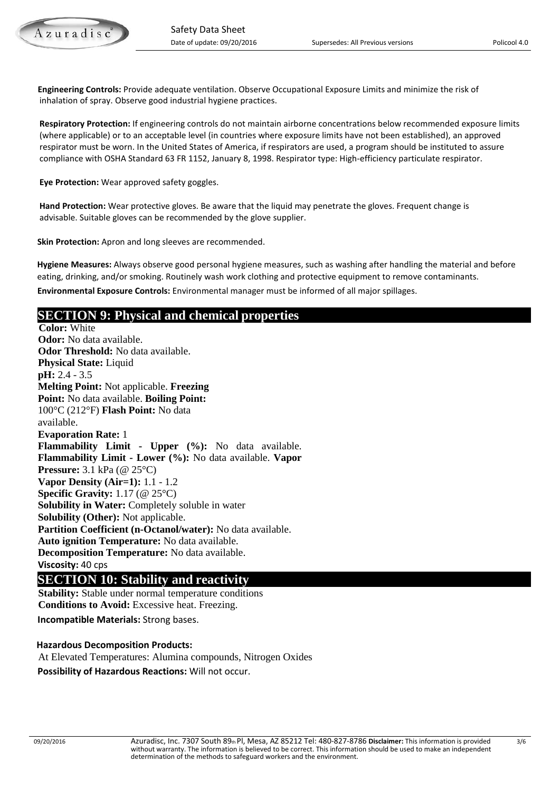**Engineering Controls:** Provide adequate ventilation. Observe Occupational Exposure Limits and minimize the risk of inhalation of spray. Observe good industrial hygiene practices.

 **Respiratory Protection:** If engineering controls do not maintain airborne concentrations below recommended exposure limits (where applicable) or to an acceptable level (in countries where exposure limits have not been established), an approved respirator must be worn. In the United States of America, if respirators are used, a program should be instituted to assure compliance with OSHA Standard 63 FR 1152, January 8, 1998. Respirator type: High-efficiency particulate respirator.

 **Eye Protection:** Wear approved safety goggles.

 **Hand Protection:** Wear protective gloves. Be aware that the liquid may penetrate the gloves. Frequent change is advisable. Suitable gloves can be recommended by the glove supplier.

 **Skin Protection:** Apron and long sleeves are recommended.

 **Hygiene Measures:** Always observe good personal hygiene measures, such as washing after handling the material and before eating, drinking, and/or smoking. Routinely wash work clothing and protective equipment to remove contaminants.

 **Environmental Exposure Controls:** Environmental manager must be informed of all major spillages.

# **SECTION 9: Physical and chemical properties**

**Color:** White **Odor:** No data available. **Odor Threshold:** No data available. **Physical State:** Liquid **pH:** 2.4 - 3.5 **Melting Point:** Not applicable. **Freezing Point:** No data available. **Boiling Point:**  100°C (212°F) **Flash Point:** No data available. **Evaporation Rate:** 1 **Flammability Limit - Upper (%):** No data available. **Flammability Limit - Lower (%):** No data available. **Vapor Pressure:** 3.1 kPa (@ 25°C) **Vapor Density (Air=1):** 1.1 - 1.2 **Specific Gravity:** 1.17 (@ 25°C) **Solubility in Water:** Completely soluble in water **Solubility (Other):** Not applicable. **Partition Coefficient (n-Octanol/water):** No data available. **Auto ignition Temperature:** No data available. **Decomposition Temperature:** No data available. **Viscosity:** 40 cps

# **SECTION 10: Stability and reactivity**<br>**Stability:** Stable under normal temperature conditions

 **Conditions to Avoid:** Excessive heat. Freezing. **Incompatible Materials:** Strong bases.

#### **Hazardous Decomposition Products:**

 At Elevated Temperatures: Alumina compounds, Nitrogen Oxides **Possibility of Hazardous Reactions:** Will not occur.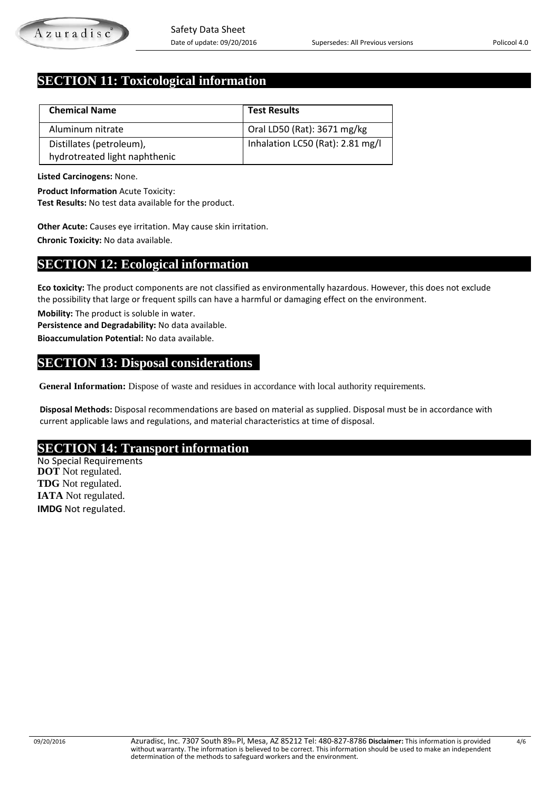# **SECTION 11: Toxicological information**

| <b>Chemical Name</b>          | <b>Test Results</b>              |
|-------------------------------|----------------------------------|
| Aluminum nitrate              | Oral LD50 (Rat): 3671 mg/kg      |
| Distillates (petroleum),      | Inhalation LC50 (Rat): 2.81 mg/l |
| hydrotreated light naphthenic |                                  |

**Listed Carcinogens:** None.

**Product Information** Acute Toxicity:

**Test Results:** No test data available for the product.

 **Other Acute:** Causes eye irritation. May cause skin irritation. **Chronic Toxicity:** No data available.

### **SECTION 12: Ecological information**

**Eco toxicity:** The product components are not classified as environmentally hazardous. However, this does not exclude the possibility that large or frequent spills can have a harmful or damaging effect on the environment.

**Mobility:** The product is soluble in water.

**Persistence and Degradability:** No data available.

**Bioaccumulation Potential:** No data available.

### **SECTION 13: Disposal considerations**

**General Information:** Dispose of waste and residues in accordance with local authority requirements.

 **Disposal Methods:** Disposal recommendations are based on material as supplied. Disposal must be in accordance with current applicable laws and regulations, and material characteristics at time of disposal.

# **SECTION 14: Transport information** No Special Requirements

 **DOT** Not regulated.  **TDG** Not regulated.  **IATA** Not regulated.  **IMDG** Not regulated.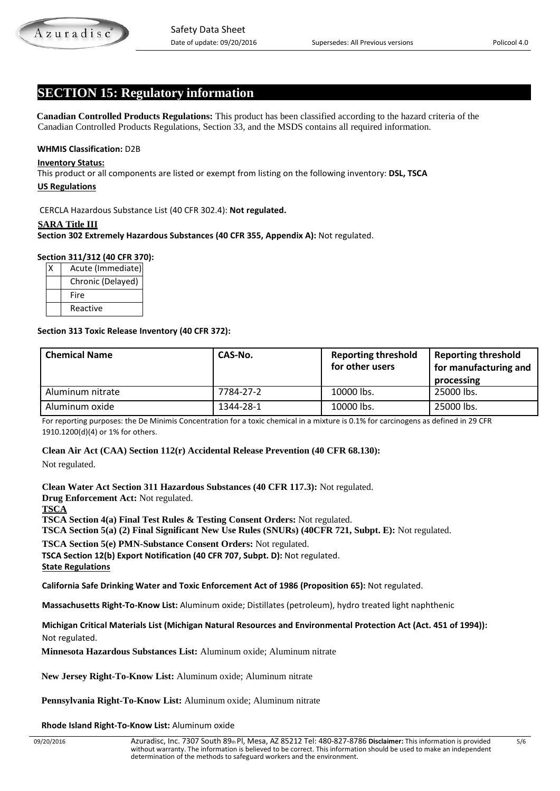# **SECTION 15: Regulatory information**

 **Canadian Controlled Products Regulations:** This product has been classified according to the hazard criteria of the Canadian Controlled Products Regulations, Section 33, and the MSDS contains all required information.

#### **WHMIS Classification:** D2B

#### **Inventory Status:**

This product or all components are listed or exempt from listing on the following inventory: **DSL, TSCA**

#### **US Regulations**

CERCLA Hazardous Substance List (40 CFR 302.4): **Not regulated.**

#### **SARA Title III**

**Section 302 Extremely Hazardous Substances (40 CFR 355, Appendix A):** Not regulated.

#### **Section 311/312 (40 CFR 370):**

| Acute (Immediate) |
|-------------------|
| Chronic (Delayed) |
| Fire              |
| Reactive          |

#### **Section 313 Toxic Release Inventory (40 CFR 372):**

| <b>Chemical Name</b> | CAS-No.   | <b>Reporting threshold</b><br>for other users | <b>Reporting threshold</b><br>for manufacturing and<br>processing |
|----------------------|-----------|-----------------------------------------------|-------------------------------------------------------------------|
| Aluminum nitrate     | 7784-27-2 | 10000 lbs.                                    | 25000 lbs.                                                        |
| Aluminum oxide       | 1344-28-1 | 10000 lbs.                                    | 25000 lbs.                                                        |

For reporting purposes: the De Minimis Concentration for a toxic chemical in a mixture is 0.1% for carcinogens as defined in 29 CFR 1910.1200(d)(4) or 1% for others.

#### **Clean Air Act (CAA) Section 112(r) Accidental Release Prevention (40 CFR 68.130):**

Not regulated.

**Clean Water Act Section 311 Hazardous Substances (40 CFR 117.3):** Not regulated. **Drug Enforcement Act:** Not regulated. **TSCA TSCA Section 4(a) Final Test Rules & Testing Consent Orders:** Not regulated. **TSCA Section 5(a) (2) Final Significant New Use Rules (SNURs) (40CFR 721, Subpt. E):** Not regulated. **TSCA Section 5(e) PMN-Substance Consent Orders:** Not regulated.

**TSCA Section 12(b) Export Notification (40 CFR 707, Subpt. D):** Not regulated.

**State Regulations**

**California Safe Drinking Water and Toxic Enforcement Act of 1986 (Proposition 65):** Not regulated.

**Massachusetts Right-To-Know List:** Aluminum oxide; Distillates (petroleum), hydro treated light naphthenic

**Michigan Critical Materials List (Michigan Natural Resources and Environmental Protection Act (Act. 451 of 1994)):** Not regulated.

 **Minnesota Hazardous Substances List:** Aluminum oxide; Aluminum nitrate

**New Jersey Right-To-Know List:** Aluminum oxide; Aluminum nitrate

 **Pennsylvania Right-To-Know List:** Aluminum oxide; Aluminum nitrate

 **Rhode Island Right-To-Know List:** Aluminum oxide